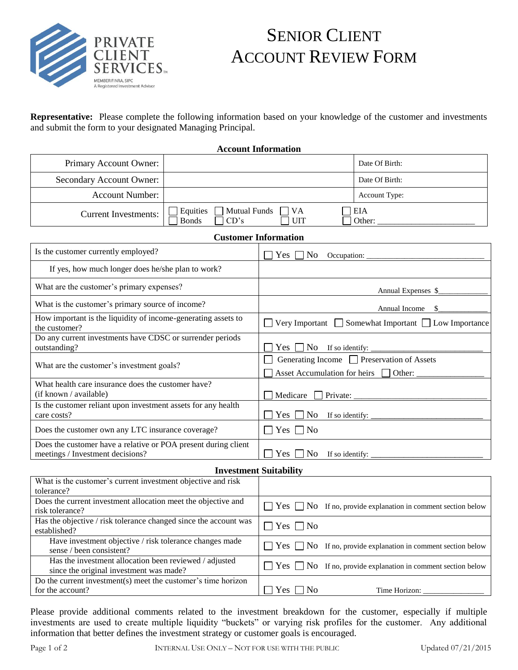

## SENIOR CLIENT ACCOUNT REVIEW FORM

**Representative:** Please complete the following information based on your knowledge of the customer and investments and submit the form to your designated Managing Principal.

**Account Information**

| Primary Account Owner:                                                                             | Date Of Birth:                                                                                 |  |  |
|----------------------------------------------------------------------------------------------------|------------------------------------------------------------------------------------------------|--|--|
| Secondary Account Owner:                                                                           | Date Of Birth:                                                                                 |  |  |
| <b>Account Number:</b>                                                                             | Account Type:                                                                                  |  |  |
| <b>Mutual Funds</b><br>Equities<br><b>Current Investments:</b><br><b>Bonds</b><br>CD's             | $\Box$ VA<br><b>EIA</b><br><b>UIT</b><br>Other:                                                |  |  |
| <b>Customer Information</b>                                                                        |                                                                                                |  |  |
| Is the customer currently employed?                                                                | $\neg$ No<br>Yes  <br>Occupation:                                                              |  |  |
| If yes, how much longer does he/she plan to work?                                                  |                                                                                                |  |  |
| What are the customer's primary expenses?                                                          | Annual Expenses \$                                                                             |  |  |
| What is the customer's primary source of income?                                                   | Annual Income                                                                                  |  |  |
| How important is the liquidity of income-generating assets to<br>the customer?                     | □ Very Important □ Somewhat Important □ Low Importance                                         |  |  |
| Do any current investments have CDSC or surrender periods<br>outstanding?                          | Yes $\Box$ No If so identify:                                                                  |  |  |
| What are the customer's investment goals?                                                          | Generating Income <sup>7</sup> Preservation of Assets<br>Asset Accumulation for heirs □ Other: |  |  |
| What health care insurance does the customer have?<br>(if known / available)                       | Medicare $\Box$ Private:                                                                       |  |  |
| Is the customer reliant upon investment assets for any health<br>care costs?                       | Yes $\Box$ No If so identify:                                                                  |  |  |
| Does the customer own any LTC insurance coverage?                                                  | $\Box$ Yes $\Box$ No                                                                           |  |  |
| Does the customer have a relative or POA present during client<br>meetings / Investment decisions? | Yes $\Box$ No If so identify: $\Box$                                                           |  |  |
| <b>Investment Suitability</b>                                                                      |                                                                                                |  |  |
| What is the customer's current investment objective and risk<br>tolerance?                         |                                                                                                |  |  |
| Does the current investment allocation meet the objective and<br>risk tolerance?                   | $\Box$ Yes $\Box$ No If no, provide explanation in comment section below                       |  |  |
| Has the objective / risk tolerance changed since the account was<br>established?                   | $\Box$ Yes $\Box$ No                                                                           |  |  |
| Have investment objective / risk tolerance changes made<br>sense / been consistent?                | $\Box$ Yes $\Box$ No If no, provide explanation in comment section below                       |  |  |
| Has the investment allocation been reviewed / adjusted<br>since the original investment was made?  | $\Box$ Yes $\Box$ No If no, provide explanation in comment section below                       |  |  |
| Do the current investment(s) meet the customer's time horizon<br>for the account?                  | Yes $\Box$ No<br>Time Horizon:                                                                 |  |  |

Please provide additional comments related to the investment breakdown for the customer, especially if multiple investments are used to create multiple liquidity "buckets" or varying risk profiles for the customer. Any additional information that better defines the investment strategy or customer goals is encouraged.